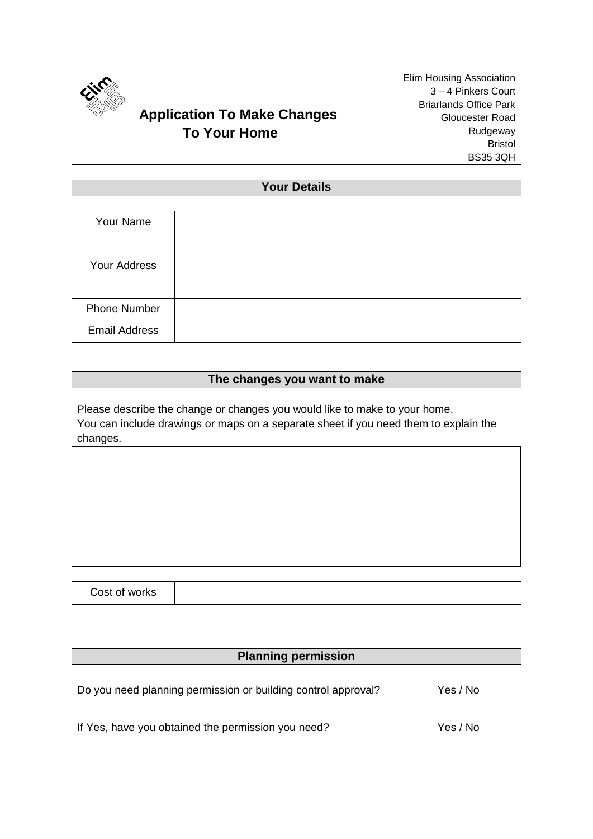

# **Application To Make Changes To Your Home**

## **Your Details**

| Your Name            |  |
|----------------------|--|
| Your Address         |  |
|                      |  |
|                      |  |
| <b>Phone Number</b>  |  |
| <b>Email Address</b> |  |

## **The changes you want to make**

Please describe the change or changes you would like to make to your home. You can include drawings or maps on a separate sheet if you need them to explain the changes.

## **Planning permission**

| Do you need planning permission or building control approval? | Yes / No |
|---------------------------------------------------------------|----------|
|                                                               |          |

If Yes, have you obtained the permission you need? Yes / No